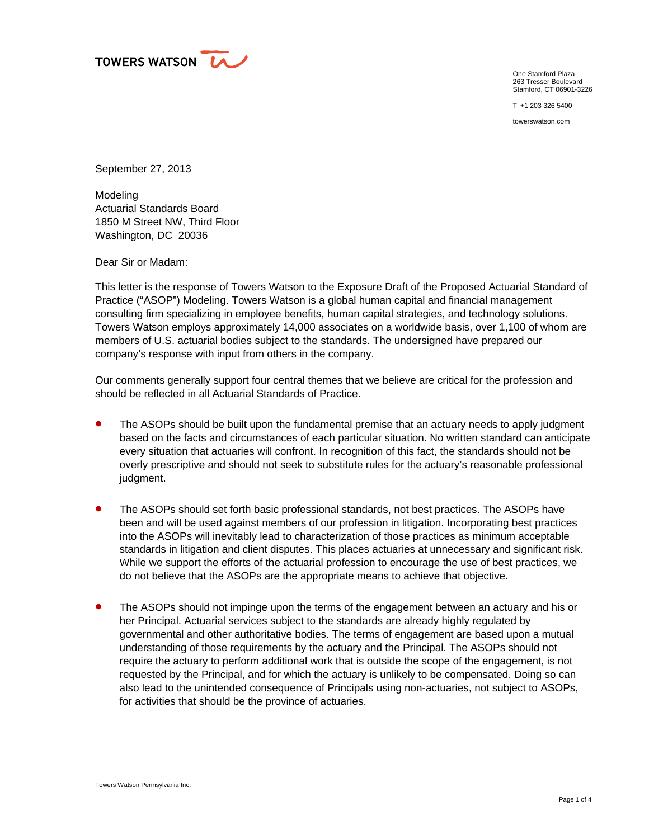

One Stamford Plaza 263 Tresser Boulevard Stamford, CT 06901-3226

T +1 203 326 5400

towerswatson.com

September 27, 2013

Modeling Actuarial Standards Board 1850 M Street NW, Third Floor Washington, DC 20036

Dear Sir or Madam:

This letter is the response of Towers Watson to the Exposure Draft of the Proposed Actuarial Standard of Practice ("ASOP") Modeling. Towers Watson is a global human capital and financial management consulting firm specializing in employee benefits, human capital strategies, and technology solutions. Towers Watson employs approximately 14,000 associates on a worldwide basis, over 1,100 of whom are members of U.S. actuarial bodies subject to the standards. The undersigned have prepared our company's response with input from others in the company.

Our comments generally support four central themes that we believe are critical for the profession and should be reflected in all Actuarial Standards of Practice.

- The ASOPs should be built upon the fundamental premise that an actuary needs to apply judgment based on the facts and circumstances of each particular situation. No written standard can anticipate every situation that actuaries will confront. In recognition of this fact, the standards should not be overly prescriptive and should not seek to substitute rules for the actuary's reasonable professional judgment.
- **•** The ASOPs should set forth basic professional standards, not best practices. The ASOPs have been and will be used against members of our profession in litigation. Incorporating best practices into the ASOPs will inevitably lead to characterization of those practices as minimum acceptable standards in litigation and client disputes. This places actuaries at unnecessary and significant risk. While we support the efforts of the actuarial profession to encourage the use of best practices, we do not believe that the ASOPs are the appropriate means to achieve that objective.
- The ASOPs should not impinge upon the terms of the engagement between an actuary and his or her Principal. Actuarial services subject to the standards are already highly regulated by governmental and other authoritative bodies. The terms of engagement are based upon a mutual understanding of those requirements by the actuary and the Principal. The ASOPs should not require the actuary to perform additional work that is outside the scope of the engagement, is not requested by the Principal, and for which the actuary is unlikely to be compensated. Doing so can also lead to the unintended consequence of Principals using non-actuaries, not subject to ASOPs, for activities that should be the province of actuaries.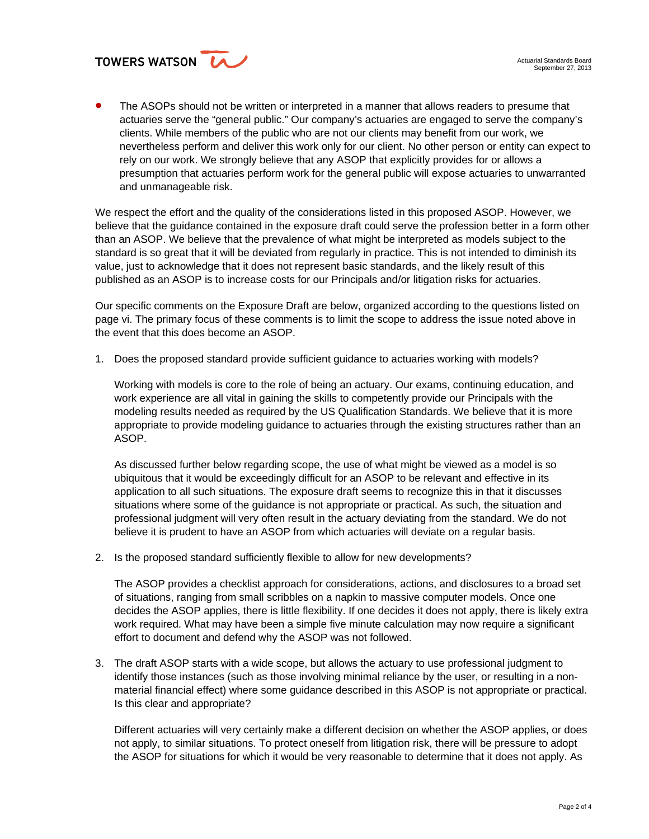

**The ASOPs should not be written or interpreted in a manner that allows readers to presume that** actuaries serve the "general public." Our company's actuaries are engaged to serve the company's clients. While members of the public who are not our clients may benefit from our work, we nevertheless perform and deliver this work only for our client. No other person or entity can expect to rely on our work. We strongly believe that any ASOP that explicitly provides for or allows a presumption that actuaries perform work for the general public will expose actuaries to unwarranted and unmanageable risk.

We respect the effort and the quality of the considerations listed in this proposed ASOP. However, we believe that the guidance contained in the exposure draft could serve the profession better in a form other than an ASOP. We believe that the prevalence of what might be interpreted as models subject to the standard is so great that it will be deviated from regularly in practice. This is not intended to diminish its value, just to acknowledge that it does not represent basic standards, and the likely result of this published as an ASOP is to increase costs for our Principals and/or litigation risks for actuaries.

Our specific comments on the Exposure Draft are below, organized according to the questions listed on page vi. The primary focus of these comments is to limit the scope to address the issue noted above in the event that this does become an ASOP.

1. Does the proposed standard provide sufficient guidance to actuaries working with models?

Working with models is core to the role of being an actuary. Our exams, continuing education, and work experience are all vital in gaining the skills to competently provide our Principals with the modeling results needed as required by the US Qualification Standards. We believe that it is more appropriate to provide modeling guidance to actuaries through the existing structures rather than an ASOP.

As discussed further below regarding scope, the use of what might be viewed as a model is so ubiquitous that it would be exceedingly difficult for an ASOP to be relevant and effective in its application to all such situations. The exposure draft seems to recognize this in that it discusses situations where some of the guidance is not appropriate or practical. As such, the situation and professional judgment will very often result in the actuary deviating from the standard. We do not believe it is prudent to have an ASOP from which actuaries will deviate on a regular basis.

2. Is the proposed standard sufficiently flexible to allow for new developments?

The ASOP provides a checklist approach for considerations, actions, and disclosures to a broad set of situations, ranging from small scribbles on a napkin to massive computer models. Once one decides the ASOP applies, there is little flexibility. If one decides it does not apply, there is likely extra work required. What may have been a simple five minute calculation may now require a significant effort to document and defend why the ASOP was not followed.

3. The draft ASOP starts with a wide scope, but allows the actuary to use professional judgment to identify those instances (such as those involving minimal reliance by the user, or resulting in a nonmaterial financial effect) where some guidance described in this ASOP is not appropriate or practical. Is this clear and appropriate?

Different actuaries will very certainly make a different decision on whether the ASOP applies, or does not apply, to similar situations. To protect oneself from litigation risk, there will be pressure to adopt the ASOP for situations for which it would be very reasonable to determine that it does not apply. As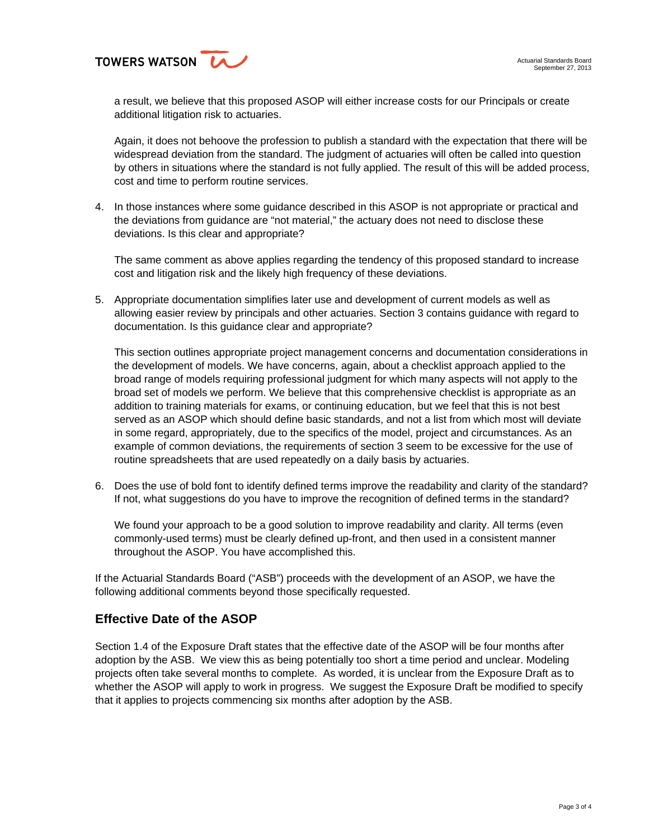

a result, we believe that this proposed ASOP will either increase costs for our Principals or create additional litigation risk to actuaries.

Again, it does not behoove the profession to publish a standard with the expectation that there will be widespread deviation from the standard. The judgment of actuaries will often be called into question by others in situations where the standard is not fully applied. The result of this will be added process, cost and time to perform routine services.

4. In those instances where some guidance described in this ASOP is not appropriate or practical and the deviations from guidance are "not material," the actuary does not need to disclose these deviations. Is this clear and appropriate?

The same comment as above applies regarding the tendency of this proposed standard to increase cost and litigation risk and the likely high frequency of these deviations.

5. Appropriate documentation simplifies later use and development of current models as well as allowing easier review by principals and other actuaries. Section 3 contains guidance with regard to documentation. Is this guidance clear and appropriate?

This section outlines appropriate project management concerns and documentation considerations in the development of models. We have concerns, again, about a checklist approach applied to the broad range of models requiring professional judgment for which many aspects will not apply to the broad set of models we perform. We believe that this comprehensive checklist is appropriate as an addition to training materials for exams, or continuing education, but we feel that this is not best served as an ASOP which should define basic standards, and not a list from which most will deviate in some regard, appropriately, due to the specifics of the model, project and circumstances. As an example of common deviations, the requirements of section 3 seem to be excessive for the use of routine spreadsheets that are used repeatedly on a daily basis by actuaries.

6. Does the use of bold font to identify defined terms improve the readability and clarity of the standard? If not, what suggestions do you have to improve the recognition of defined terms in the standard?

We found your approach to be a good solution to improve readability and clarity. All terms (even commonly-used terms) must be clearly defined up-front, and then used in a consistent manner throughout the ASOP. You have accomplished this.

If the Actuarial Standards Board ("ASB") proceeds with the development of an ASOP, we have the following additional comments beyond those specifically requested.

## **Effective Date of the ASOP**

Section 1.4 of the Exposure Draft states that the effective date of the ASOP will be four months after adoption by the ASB. We view this as being potentially too short a time period and unclear. Modeling projects often take several months to complete. As worded, it is unclear from the Exposure Draft as to whether the ASOP will apply to work in progress. We suggest the Exposure Draft be modified to specify that it applies to projects commencing six months after adoption by the ASB.